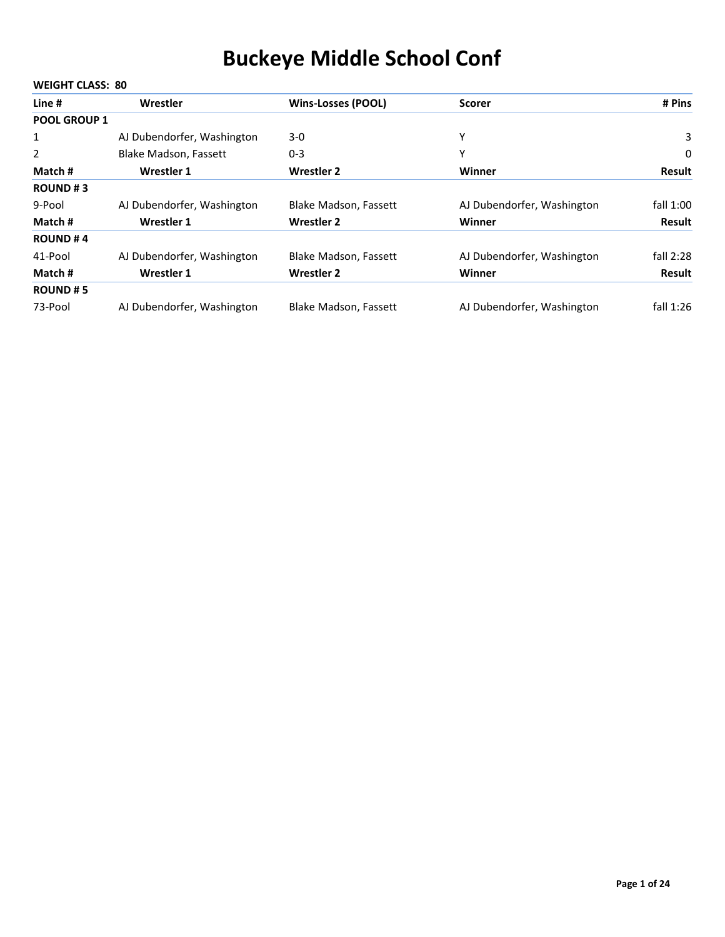|                     | <b>WEIGHT CLASS: 80</b>      |                              |                            |               |  |  |
|---------------------|------------------------------|------------------------------|----------------------------|---------------|--|--|
| Line #              | Wrestler                     | <b>Wins-Losses (POOL)</b>    | <b>Scorer</b>              | # Pins        |  |  |
| <b>POOL GROUP 1</b> |                              |                              |                            |               |  |  |
| 1                   | AJ Dubendorfer, Washington   | $3-0$                        | Υ                          | 3             |  |  |
| 2                   | <b>Blake Madson, Fassett</b> | $0 - 3$                      | Υ                          | 0             |  |  |
| Match #             | Wrestler 1                   | Wrestler 2                   | Winner                     | <b>Result</b> |  |  |
| <b>ROUND#3</b>      |                              |                              |                            |               |  |  |
| 9-Pool              | AJ Dubendorfer, Washington   | <b>Blake Madson, Fassett</b> | AJ Dubendorfer, Washington | fall 1:00     |  |  |
| Match #             | Wrestler 1                   | <b>Wrestler 2</b>            | Winner                     | <b>Result</b> |  |  |
| <b>ROUND#4</b>      |                              |                              |                            |               |  |  |
| 41-Pool             | AJ Dubendorfer, Washington   | Blake Madson, Fassett        | AJ Dubendorfer, Washington | fall 2:28     |  |  |
| Match #             | Wrestler 1                   | <b>Wrestler 2</b>            | Winner                     | <b>Result</b> |  |  |
| <b>ROUND#5</b>      |                              |                              |                            |               |  |  |
| 73-Pool             | AJ Dubendorfer, Washington   | <b>Blake Madson, Fassett</b> | AJ Dubendorfer, Washington | fall $1:26$   |  |  |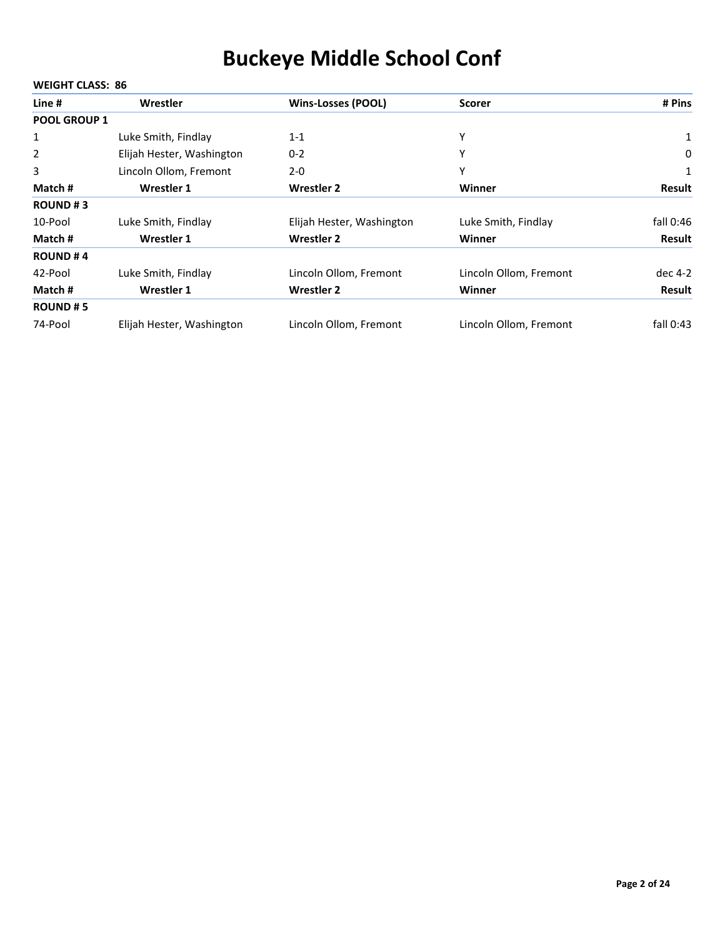| Line #              | Wrestler                  | <b>Wins-Losses (POOL)</b> | <b>Scorer</b>          | # Pins      |
|---------------------|---------------------------|---------------------------|------------------------|-------------|
| <b>POOL GROUP 1</b> |                           |                           |                        |             |
| 1                   | Luke Smith, Findlay       | $1 - 1$                   | Υ                      | 1           |
| $\overline{2}$      | Elijah Hester, Washington | $0 - 2$                   | Υ                      | 0           |
| 3                   | Lincoln Ollom, Fremont    | $2 - 0$                   | Υ                      |             |
| Match #             | Wrestler 1                | <b>Wrestler 2</b>         | Winner                 | Result      |
| <b>ROUND#3</b>      |                           |                           |                        |             |
| 10-Pool             | Luke Smith, Findlay       | Elijah Hester, Washington | Luke Smith, Findlay    | fall 0:46   |
| Match #             | Wrestler 1                | <b>Wrestler 2</b>         | Winner                 | Result      |
| <b>ROUND#4</b>      |                           |                           |                        |             |
| 42-Pool             | Luke Smith, Findlay       | Lincoln Ollom, Fremont    | Lincoln Ollom, Fremont | dec 4-2     |
| Match #             | Wrestler 1                | <b>Wrestler 2</b>         | Winner                 | Result      |
| <b>ROUND#5</b>      |                           |                           |                        |             |
| 74-Pool             | Elijah Hester, Washington | Lincoln Ollom, Fremont    | Lincoln Ollom, Fremont | fall $0:43$ |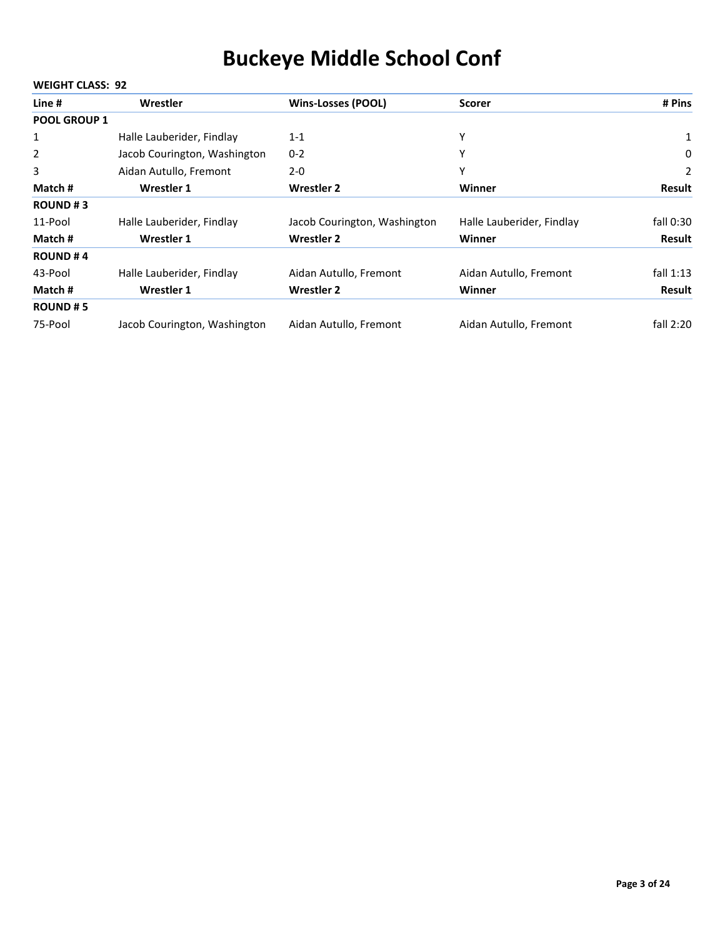|                     | <b>WEIGHT CLASS: 92</b>      |                              |                           |               |  |  |
|---------------------|------------------------------|------------------------------|---------------------------|---------------|--|--|
| Line #              | Wrestler                     | <b>Wins-Losses (POOL)</b>    | <b>Scorer</b>             | # Pins        |  |  |
| <b>POOL GROUP 1</b> |                              |                              |                           |               |  |  |
| $\mathbf{1}$        | Halle Lauberider, Findlay    | $1 - 1$                      | Υ                         | 1             |  |  |
| $\overline{2}$      | Jacob Courington, Washington | $0 - 2$                      | Υ                         | 0             |  |  |
| 3                   | Aidan Autullo, Fremont       | $2 - 0$                      | Υ                         | 2             |  |  |
| Match #             | <b>Wrestler 1</b>            | <b>Wrestler 2</b>            | Winner                    | <b>Result</b> |  |  |
| <b>ROUND#3</b>      |                              |                              |                           |               |  |  |
| 11-Pool             | Halle Lauberider, Findlay    | Jacob Courington, Washington | Halle Lauberider, Findlay | fall $0:30$   |  |  |
| Match #             | <b>Wrestler 1</b>            | <b>Wrestler 2</b>            | Winner                    | <b>Result</b> |  |  |
| <b>ROUND#4</b>      |                              |                              |                           |               |  |  |
| 43-Pool             | Halle Lauberider, Findlay    | Aidan Autullo, Fremont       | Aidan Autullo, Fremont    | fall $1:13$   |  |  |
| Match #             | <b>Wrestler 1</b>            | <b>Wrestler 2</b>            | Winner                    | <b>Result</b> |  |  |
| <b>ROUND#5</b>      |                              |                              |                           |               |  |  |
| 75-Pool             | Jacob Courington, Washington | Aidan Autullo, Fremont       | Aidan Autullo, Fremont    | fall $2:20$   |  |  |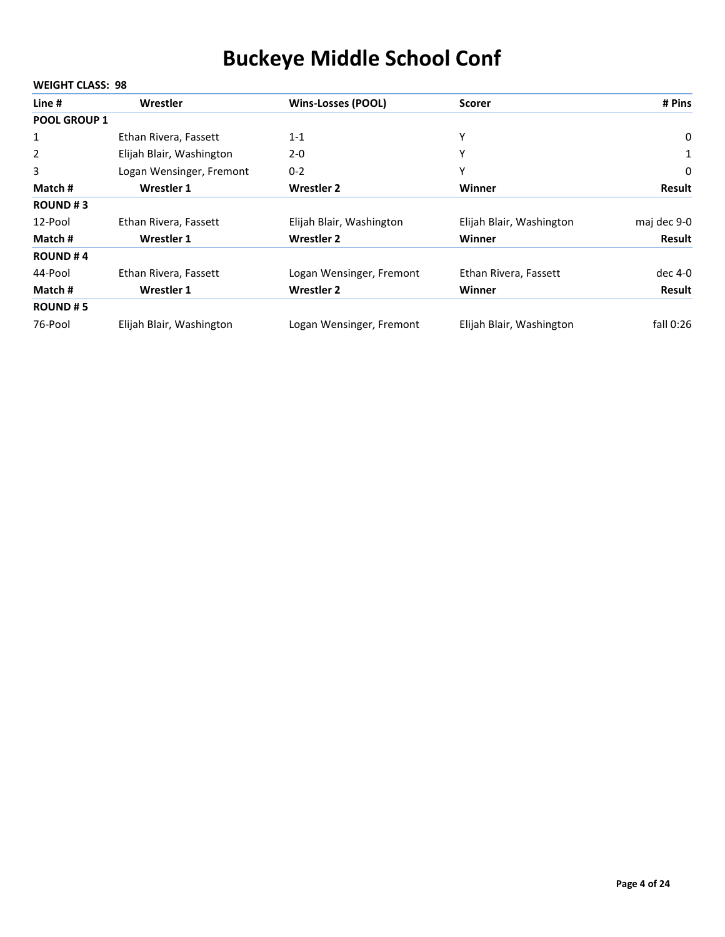| Line #              | Wrestler                 | <b>Wins-Losses (POOL)</b> | <b>Scorer</b>            | # Pins      |
|---------------------|--------------------------|---------------------------|--------------------------|-------------|
| <b>POOL GROUP 1</b> |                          |                           |                          |             |
| 1                   | Ethan Rivera, Fassett    | $1 - 1$                   | Υ                        | $\mathbf 0$ |
| 2                   | Elijah Blair, Washington | $2 - 0$                   | Υ                        |             |
| 3                   | Logan Wensinger, Fremont | $0 - 2$                   | Υ                        | 0           |
| Match #             | Wrestler 1               | <b>Wrestler 2</b>         | Winner                   | Result      |
| <b>ROUND#3</b>      |                          |                           |                          |             |
| 12-Pool             | Ethan Rivera, Fassett    | Elijah Blair, Washington  | Elijah Blair, Washington | maj dec 9-0 |
| Match #             | Wrestler 1               | <b>Wrestler 2</b>         | Winner                   | Result      |
| <b>ROUND#4</b>      |                          |                           |                          |             |
| 44-Pool             | Ethan Rivera, Fassett    | Logan Wensinger, Fremont  | Ethan Rivera, Fassett    | dec 4-0     |
| Match #             | Wrestler 1               | <b>Wrestler 2</b>         | Winner                   | Result      |
| <b>ROUND#5</b>      |                          |                           |                          |             |
| 76-Pool             | Elijah Blair, Washington | Logan Wensinger, Fremont  | Elijah Blair, Washington | fall 0:26   |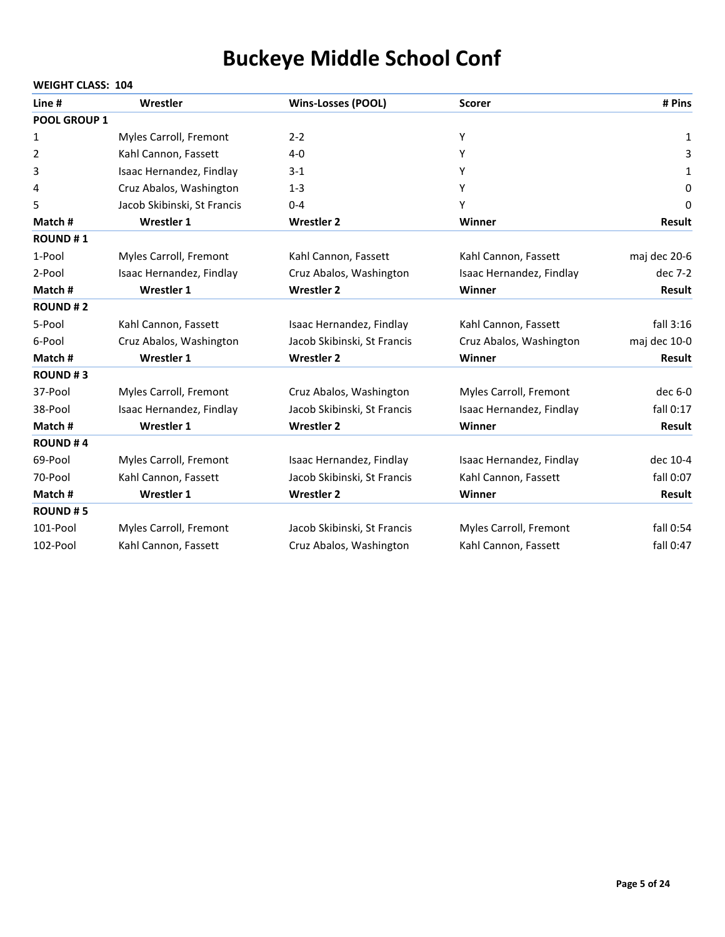| Line #         | Wrestler                    | <b>Wins-Losses (POOL)</b>   | <b>Scorer</b>            | # Pins        |
|----------------|-----------------------------|-----------------------------|--------------------------|---------------|
| POOL GROUP 1   |                             |                             |                          |               |
| 1              | Myles Carroll, Fremont      | $2 - 2$                     | Y                        | 1             |
| 2              | Kahl Cannon, Fassett        | $4 - 0$                     | Υ                        | 3             |
| 3              | Isaac Hernandez, Findlay    | $3 - 1$                     | Υ                        | 1             |
| 4              | Cruz Abalos, Washington     | $1 - 3$                     | Υ                        | 0             |
| 5              | Jacob Skibinski, St Francis | $0 - 4$                     | Υ                        | 0             |
| Match #        | <b>Wrestler 1</b>           | <b>Wrestler 2</b>           | Winner                   | <b>Result</b> |
| <b>ROUND#1</b> |                             |                             |                          |               |
| 1-Pool         | Myles Carroll, Fremont      | Kahl Cannon, Fassett        | Kahl Cannon, Fassett     | maj dec 20-6  |
| 2-Pool         | Isaac Hernandez, Findlay    | Cruz Abalos, Washington     | Isaac Hernandez, Findlay | dec 7-2       |
| Match #        | <b>Wrestler 1</b>           | <b>Wrestler 2</b>           | Winner                   | <b>Result</b> |
| <b>ROUND#2</b> |                             |                             |                          |               |
| 5-Pool         | Kahl Cannon, Fassett        | Isaac Hernandez, Findlay    | Kahl Cannon, Fassett     | fall $3:16$   |
| 6-Pool         | Cruz Abalos, Washington     | Jacob Skibinski, St Francis | Cruz Abalos, Washington  | maj dec 10-0  |
| Match #        | <b>Wrestler 1</b>           | <b>Wrestler 2</b>           | Winner                   | <b>Result</b> |
| <b>ROUND#3</b> |                             |                             |                          |               |
| 37-Pool        | Myles Carroll, Fremont      | Cruz Abalos, Washington     | Myles Carroll, Fremont   | dec 6-0       |
| 38-Pool        | Isaac Hernandez, Findlay    | Jacob Skibinski, St Francis | Isaac Hernandez, Findlay | fall $0:17$   |
| Match #        | <b>Wrestler 1</b>           | <b>Wrestler 2</b>           | Winner                   | <b>Result</b> |
| <b>ROUND#4</b> |                             |                             |                          |               |
| 69-Pool        | Myles Carroll, Fremont      | Isaac Hernandez, Findlay    | Isaac Hernandez, Findlay | dec 10-4      |
| 70-Pool        | Kahl Cannon, Fassett        | Jacob Skibinski, St Francis | Kahl Cannon, Fassett     | fall 0:07     |
| Match #        | <b>Wrestler 1</b>           | <b>Wrestler 2</b>           | Winner                   | <b>Result</b> |
| <b>ROUND#5</b> |                             |                             |                          |               |
| 101-Pool       | Myles Carroll, Fremont      | Jacob Skibinski, St Francis | Myles Carroll, Fremont   | fall 0:54     |
| 102-Pool       | Kahl Cannon, Fassett        | Cruz Abalos, Washington     | Kahl Cannon, Fassett     | fall 0:47     |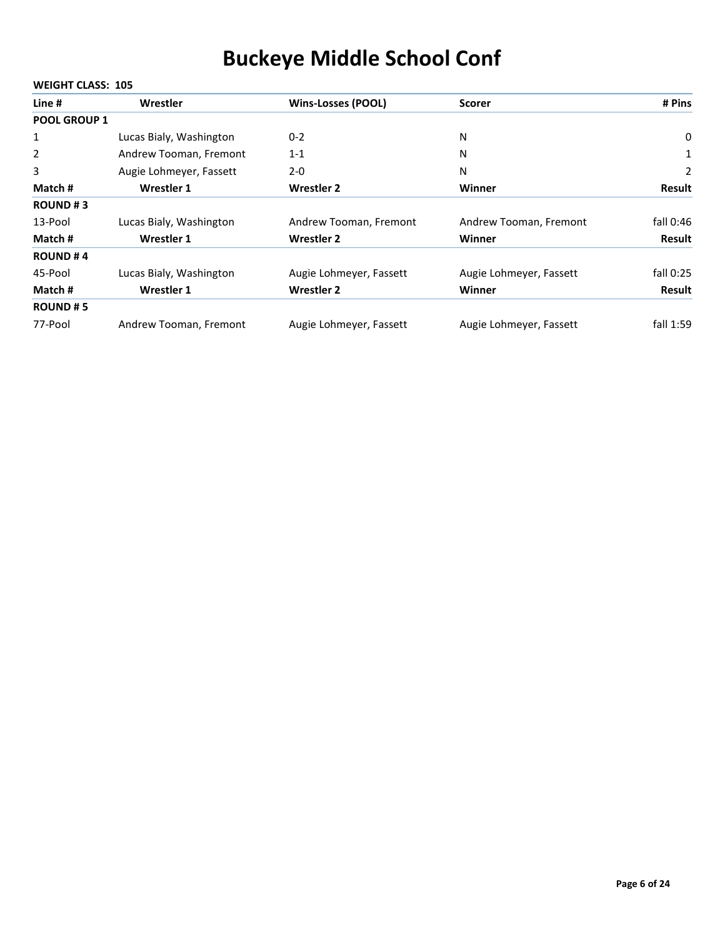| Line #              | Wrestler                | <b>Wins-Losses (POOL)</b> | <b>Scorer</b>           | # Pins        |
|---------------------|-------------------------|---------------------------|-------------------------|---------------|
| <b>POOL GROUP 1</b> |                         |                           |                         |               |
| $\mathbf{1}$        | Lucas Bialy, Washington | $0 - 2$                   | Ν                       | 0             |
| $\overline{2}$      | Andrew Tooman, Fremont  | $1 - 1$                   | N                       | 1             |
| 3                   | Augie Lohmeyer, Fassett | $2 - 0$                   | N                       | 2             |
| Match #             | <b>Wrestler 1</b>       | Wrestler 2                | Winner                  | <b>Result</b> |
| <b>ROUND#3</b>      |                         |                           |                         |               |
| 13-Pool             | Lucas Bialy, Washington | Andrew Tooman, Fremont    | Andrew Tooman, Fremont  | fall 0:46     |
| Match #             | <b>Wrestler 1</b>       | <b>Wrestler 2</b>         | <b>Winner</b>           | Result        |
| <b>ROUND#4</b>      |                         |                           |                         |               |
| 45-Pool             | Lucas Bialy, Washington | Augie Lohmeyer, Fassett   | Augie Lohmeyer, Fassett | fall $0:25$   |
| Match #             | <b>Wrestler 1</b>       | <b>Wrestler 2</b>         | <b>Winner</b>           | Result        |
| <b>ROUND#5</b>      |                         |                           |                         |               |
| 77-Pool             | Andrew Tooman, Fremont  | Augie Lohmeyer, Fassett   | Augie Lohmeyer, Fassett | fall 1:59     |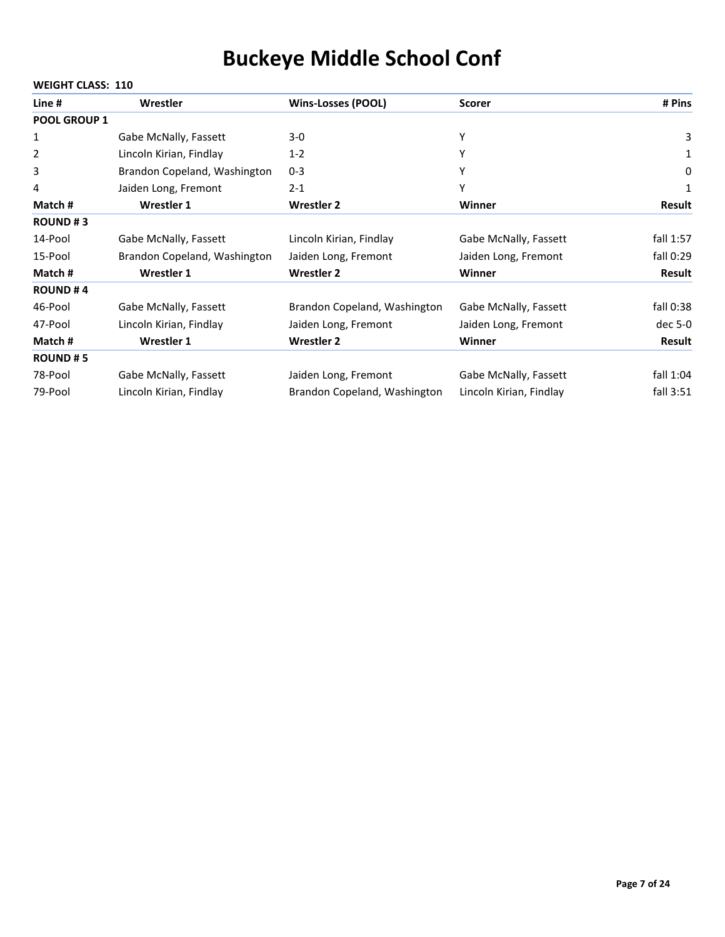|                     | <b>WEIGHT CLASS: 110</b>     |                              |                         |               |  |
|---------------------|------------------------------|------------------------------|-------------------------|---------------|--|
| Line #              | Wrestler                     | <b>Wins-Losses (POOL)</b>    | <b>Scorer</b>           | # Pins        |  |
| <b>POOL GROUP 1</b> |                              |                              |                         |               |  |
| 1                   | Gabe McNally, Fassett        | 3-0                          | Υ                       | 3             |  |
| 2                   | Lincoln Kirian, Findlay      | $1 - 2$                      | Υ                       | 1             |  |
| 3                   | Brandon Copeland, Washington | $0 - 3$                      | Y                       | 0             |  |
| 4                   | Jaiden Long, Fremont         | $2 - 1$                      | Υ                       | 1             |  |
| Match#              | <b>Wrestler 1</b>            | <b>Wrestler 2</b>            | Winner                  | <b>Result</b> |  |
| <b>ROUND#3</b>      |                              |                              |                         |               |  |
| 14-Pool             | Gabe McNally, Fassett        | Lincoln Kirian, Findlay      | Gabe McNally, Fassett   | fall 1:57     |  |
| 15-Pool             | Brandon Copeland, Washington | Jaiden Long, Fremont         | Jaiden Long, Fremont    | fall 0:29     |  |
| Match#              | <b>Wrestler 1</b>            | <b>Wrestler 2</b>            | Winner                  | <b>Result</b> |  |
| <b>ROUND#4</b>      |                              |                              |                         |               |  |
| 46-Pool             | Gabe McNally, Fassett        | Brandon Copeland, Washington | Gabe McNally, Fassett   | fall 0:38     |  |
| 47-Pool             | Lincoln Kirian, Findlay      | Jaiden Long, Fremont         | Jaiden Long, Fremont    | dec 5-0       |  |
| Match #             | Wrestler 1                   | <b>Wrestler 2</b>            | Winner                  | <b>Result</b> |  |
| <b>ROUND#5</b>      |                              |                              |                         |               |  |
| 78-Pool             | Gabe McNally, Fassett        | Jaiden Long, Fremont         | Gabe McNally, Fassett   | fall 1:04     |  |
| 79-Pool             | Lincoln Kirian, Findlay      | Brandon Copeland, Washington | Lincoln Kirian, Findlay | fall 3:51     |  |

#### **Page 7 of 24**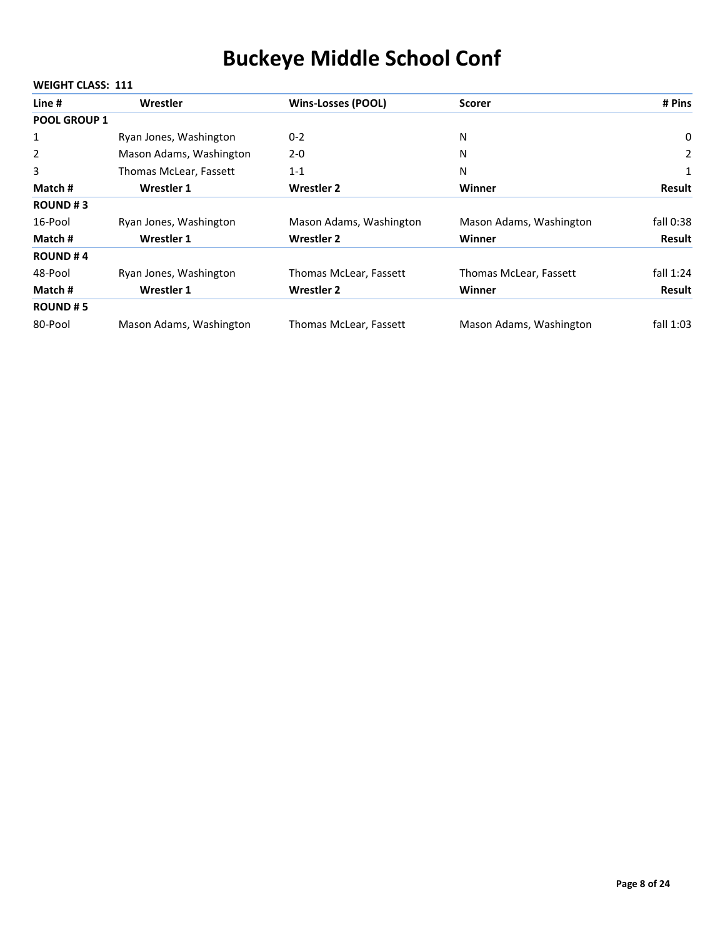| Line #              | Wrestler                | <b>Wins-Losses (POOL)</b> | <b>Scorer</b>           | # Pins        |
|---------------------|-------------------------|---------------------------|-------------------------|---------------|
| <b>POOL GROUP 1</b> |                         |                           |                         |               |
| 1                   | Ryan Jones, Washington  | $0 - 2$                   | Ν                       | 0             |
| 2                   | Mason Adams, Washington | $2 - 0$                   | Ν                       | 2             |
| 3                   | Thomas McLear, Fassett  | $1 - 1$                   | N                       | 1             |
| Match #             | Wrestler 1              | Wrestler 2                | Winner                  | <b>Result</b> |
| <b>ROUND#3</b>      |                         |                           |                         |               |
| 16-Pool             | Ryan Jones, Washington  | Mason Adams, Washington   | Mason Adams, Washington | fall 0:38     |
| Match #             | Wrestler 1              | <b>Wrestler 2</b>         | Winner                  | Result        |
| <b>ROUND#4</b>      |                         |                           |                         |               |
| 48-Pool             | Ryan Jones, Washington  | Thomas McLear, Fassett    | Thomas McLear, Fassett  | fall $1:24$   |
| Match #             | Wrestler 1              | <b>Wrestler 2</b>         | Winner                  | Result        |
| <b>ROUND#5</b>      |                         |                           |                         |               |
| 80-Pool             | Mason Adams, Washington | Thomas McLear, Fassett    | Mason Adams, Washington | fall $1:03$   |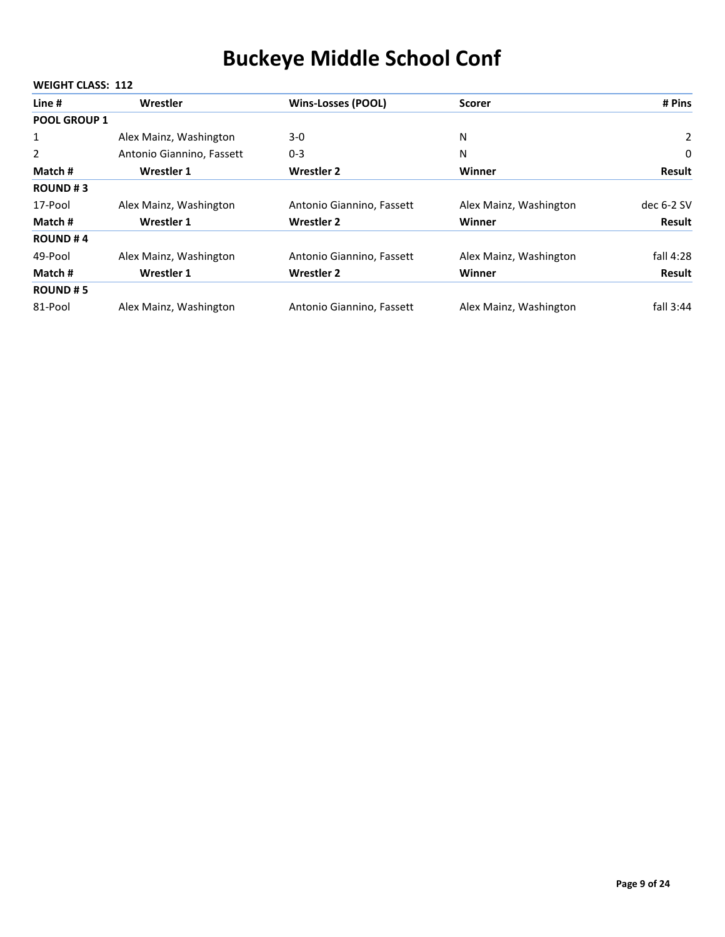| Line #              | Wrestler                  | <b>Wins-Losses (POOL)</b> | <b>Scorer</b>          | # Pins       |
|---------------------|---------------------------|---------------------------|------------------------|--------------|
| <b>POOL GROUP 1</b> |                           |                           |                        |              |
| 1                   | Alex Mainz, Washington    | $3-0$                     | N                      | $\mathbf{2}$ |
| 2                   | Antonio Giannino, Fassett | $0 - 3$                   | N                      | 0            |
| Match #             | Wrestler 1                | <b>Wrestler 2</b>         | Winner                 | Result       |
| <b>ROUND#3</b>      |                           |                           |                        |              |
| 17-Pool             | Alex Mainz, Washington    | Antonio Giannino, Fassett | Alex Mainz, Washington | dec $6-2$ SV |
| Match #             | Wrestler 1                | <b>Wrestler 2</b>         | Winner                 | Result       |
| <b>ROUND#4</b>      |                           |                           |                        |              |
| 49-Pool             | Alex Mainz, Washington    | Antonio Giannino, Fassett | Alex Mainz, Washington | fall 4:28    |
| Match #             | Wrestler 1                | <b>Wrestler 2</b>         | Winner                 | Result       |
| <b>ROUND#5</b>      |                           |                           |                        |              |
| 81-Pool             | Alex Mainz, Washington    | Antonio Giannino, Fassett | Alex Mainz, Washington | fall $3:44$  |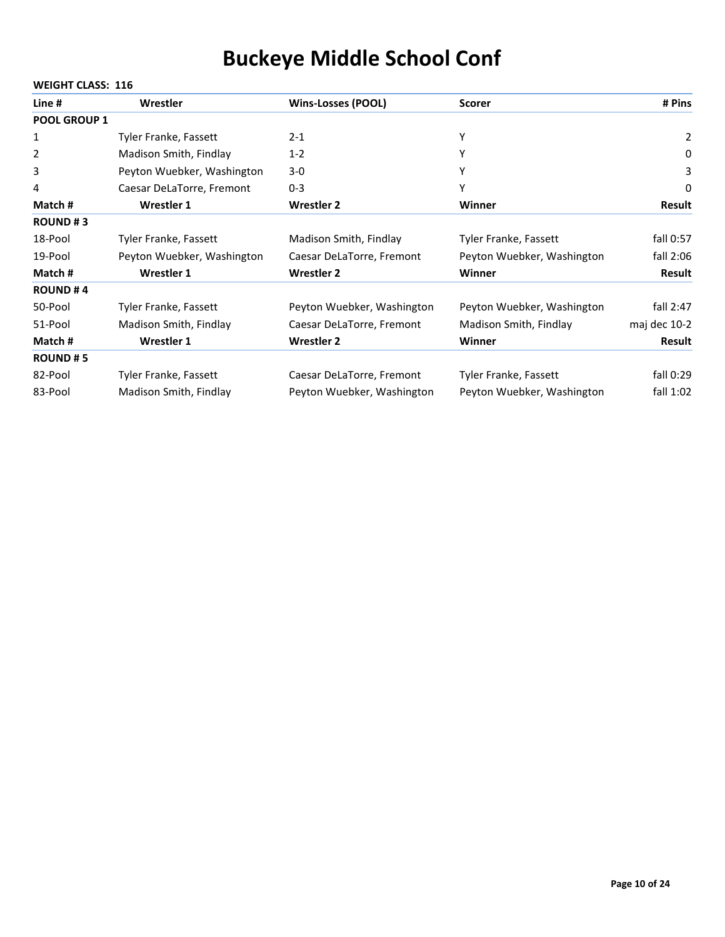| Line #              | Wrestler                   | <b>Wins-Losses (POOL)</b>  | <b>Scorer</b>              | # Pins           |  |
|---------------------|----------------------------|----------------------------|----------------------------|------------------|--|
| <b>POOL GROUP 1</b> |                            |                            |                            |                  |  |
| 1                   | Tyler Franke, Fassett      | $2 - 1$                    | Υ                          | 2                |  |
| 2                   | Madison Smith, Findlay     | $1 - 2$                    |                            | $\boldsymbol{0}$ |  |
| 3                   | Peyton Wuebker, Washington | $3-0$                      |                            | 3                |  |
| 4                   | Caesar DeLaTorre, Fremont  | $0 - 3$                    | Υ                          | 0                |  |
| Match #             | Wrestler 1                 | <b>Wrestler 2</b>          | Winner                     | <b>Result</b>    |  |
| <b>ROUND#3</b>      |                            |                            |                            |                  |  |
| 18-Pool             | Tyler Franke, Fassett      | Madison Smith, Findlay     | Tyler Franke, Fassett      | fall 0:57        |  |
| 19-Pool             | Peyton Wuebker, Washington | Caesar DeLaTorre, Fremont  | Peyton Wuebker, Washington | fall 2:06        |  |
| Match #             | <b>Wrestler 1</b>          | <b>Wrestler 2</b>          | Winner                     | Result           |  |
| <b>ROUND#4</b>      |                            |                            |                            |                  |  |
| 50-Pool             | Tyler Franke, Fassett      | Peyton Wuebker, Washington | Peyton Wuebker, Washington | fall $2:47$      |  |
| 51-Pool             | Madison Smith, Findlay     | Caesar DeLaTorre, Fremont  | Madison Smith, Findlay     | maj dec 10-2     |  |
| Match#              | Wrestler 1                 | <b>Wrestler 2</b>          | Winner                     | <b>Result</b>    |  |
| <b>ROUND#5</b>      |                            |                            |                            |                  |  |
| 82-Pool             | Tyler Franke, Fassett      | Caesar DeLaTorre, Fremont  | Tyler Franke, Fassett      | fall 0:29        |  |
| 83-Pool             | Madison Smith, Findlay     | Peyton Wuebker, Washington | Peyton Wuebker, Washington | fall $1:02$      |  |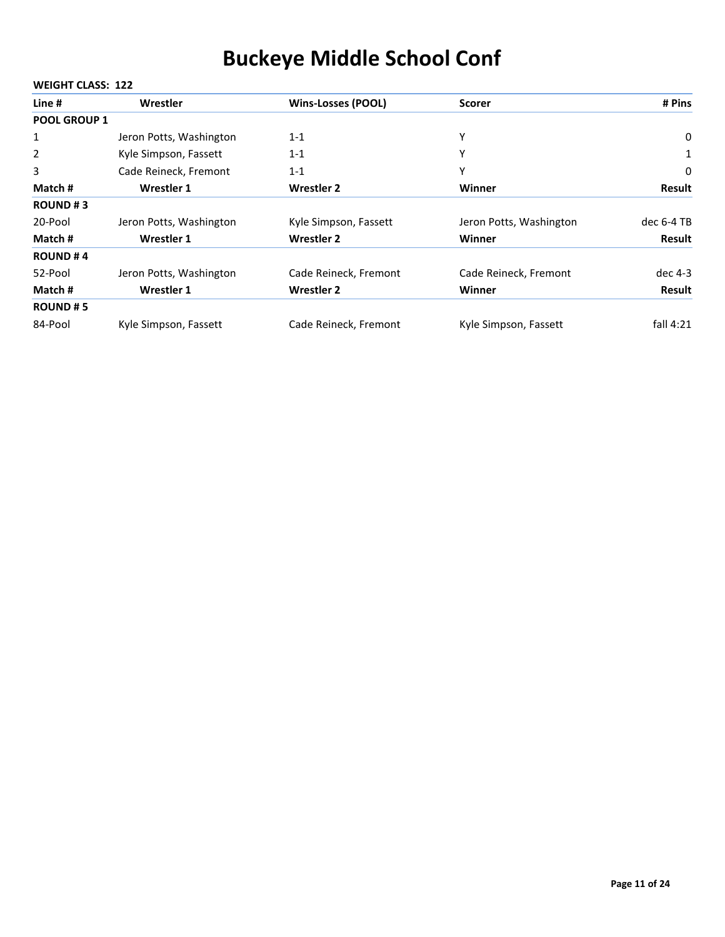| Line #              | Wrestler                | <b>Wins-Losses (POOL)</b> | <b>Scorer</b>           | # Pins      |
|---------------------|-------------------------|---------------------------|-------------------------|-------------|
| <b>POOL GROUP 1</b> |                         |                           |                         |             |
| 1                   | Jeron Potts, Washington | $1 - 1$                   | Υ                       | 0           |
| $\overline{2}$      | Kyle Simpson, Fassett   | $1 - 1$                   | Υ                       | 1           |
| 3                   | Cade Reineck, Fremont   | $1 - 1$                   | Υ                       | 0           |
| Match #             | Wrestler 1              | <b>Wrestler 2</b>         | Winner                  | Result      |
| <b>ROUND#3</b>      |                         |                           |                         |             |
| 20-Pool             | Jeron Potts, Washington | Kyle Simpson, Fassett     | Jeron Potts, Washington | dec 6-4 TB  |
| Match #             | Wrestler 1              | <b>Wrestler 2</b>         | Winner                  | Result      |
| <b>ROUND#4</b>      |                         |                           |                         |             |
| 52-Pool             | Jeron Potts, Washington | Cade Reineck, Fremont     | Cade Reineck, Fremont   | dec 4-3     |
| Match #             | Wrestler 1              | <b>Wrestler 2</b>         | Winner                  | Result      |
| <b>ROUND#5</b>      |                         |                           |                         |             |
| 84-Pool             | Kyle Simpson, Fassett   | Cade Reineck, Fremont     | Kyle Simpson, Fassett   | fall $4:21$ |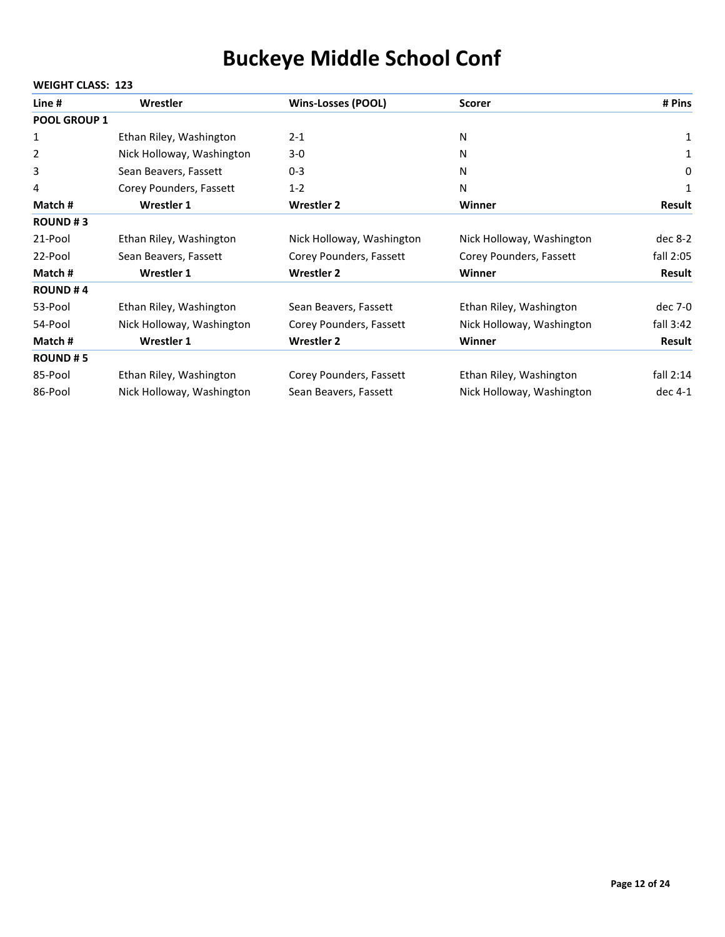|                     | <b>WEIGHT CLASS: 123</b>  |                           |                           |               |  |  |
|---------------------|---------------------------|---------------------------|---------------------------|---------------|--|--|
| Line #              | Wrestler                  | <b>Wins-Losses (POOL)</b> | <b>Scorer</b>             | # Pins        |  |  |
| <b>POOL GROUP 1</b> |                           |                           |                           |               |  |  |
| 1                   | Ethan Riley, Washington   | $2 - 1$                   | N                         | 1             |  |  |
| 2                   | Nick Holloway, Washington | $3-0$                     | N                         | 1             |  |  |
| 3                   | Sean Beavers, Fassett     | $0 - 3$                   | N                         | 0             |  |  |
| 4                   | Corey Pounders, Fassett   | $1 - 2$                   | N                         | 1             |  |  |
| Match #             | Wrestler 1                | <b>Wrestler 2</b>         | Winner                    | <b>Result</b> |  |  |
| <b>ROUND#3</b>      |                           |                           |                           |               |  |  |
| 21-Pool             | Ethan Riley, Washington   | Nick Holloway, Washington | Nick Holloway, Washington | dec $8-2$     |  |  |
| 22-Pool             | Sean Beavers, Fassett     | Corey Pounders, Fassett   | Corey Pounders, Fassett   | fall 2:05     |  |  |
| Match #             | <b>Wrestler 1</b>         | <b>Wrestler 2</b>         | Winner                    | <b>Result</b> |  |  |
| <b>ROUND#4</b>      |                           |                           |                           |               |  |  |
| 53-Pool             | Ethan Riley, Washington   | Sean Beavers, Fassett     | Ethan Riley, Washington   | dec 7-0       |  |  |
| 54-Pool             | Nick Holloway, Washington | Corey Pounders, Fassett   | Nick Holloway, Washington | fall $3:42$   |  |  |
| Match #             | <b>Wrestler 1</b>         | <b>Wrestler 2</b>         | Winner                    | <b>Result</b> |  |  |
| <b>ROUND#5</b>      |                           |                           |                           |               |  |  |
| 85-Pool             | Ethan Riley, Washington   | Corey Pounders, Fassett   | Ethan Riley, Washington   | fall $2:14$   |  |  |
| 86-Pool             | Nick Holloway, Washington | Sean Beavers, Fassett     | Nick Holloway, Washington | dec 4-1       |  |  |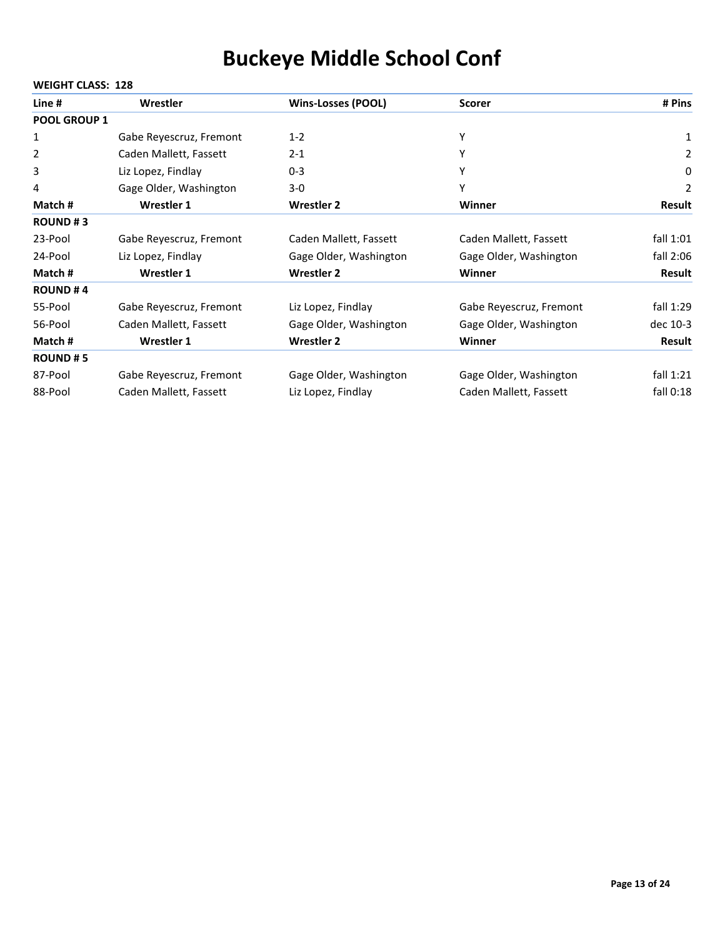| Line #         | Wrestler                | <b>Wins-Losses (POOL)</b> | <b>Scorer</b>           | # Pins      |
|----------------|-------------------------|---------------------------|-------------------------|-------------|
| POOL GROUP 1   |                         |                           |                         |             |
| 1              | Gabe Reyescruz, Fremont | $1 - 2$                   | Υ                       | 1           |
| 2              | Caden Mallett, Fassett  | $2 - 1$                   | Υ                       | 2           |
| 3              | Liz Lopez, Findlay      | $0 - 3$                   | Υ                       | 0           |
| 4              | Gage Older, Washington  | $3 - 0$                   | Υ                       | 2           |
| Match #        | <b>Wrestler 1</b>       | <b>Wrestler 2</b>         | Winner                  | Result      |
| <b>ROUND#3</b> |                         |                           |                         |             |
| 23-Pool        | Gabe Reyescruz, Fremont | Caden Mallett, Fassett    | Caden Mallett, Fassett  | fall $1:01$ |
| 24-Pool        | Liz Lopez, Findlay      | Gage Older, Washington    | Gage Older, Washington  | fall $2:06$ |
| Match#         | Wrestler 1              | <b>Wrestler 2</b>         | <b>Winner</b>           | Result      |
| <b>ROUND#4</b> |                         |                           |                         |             |
| 55-Pool        | Gabe Reyescruz, Fremont | Liz Lopez, Findlay        | Gabe Reyescruz, Fremont | fall 1:29   |
| 56-Pool        | Caden Mallett, Fassett  | Gage Older, Washington    | Gage Older, Washington  | dec 10-3    |
| Match #        | Wrestler 1              | <b>Wrestler 2</b>         | Winner                  | Result      |
| <b>ROUND#5</b> |                         |                           |                         |             |
| 87-Pool        | Gabe Reyescruz, Fremont | Gage Older, Washington    | Gage Older, Washington  | fall $1:21$ |
| 88-Pool        | Caden Mallett, Fassett  | Liz Lopez, Findlay        | Caden Mallett, Fassett  | fall 0:18   |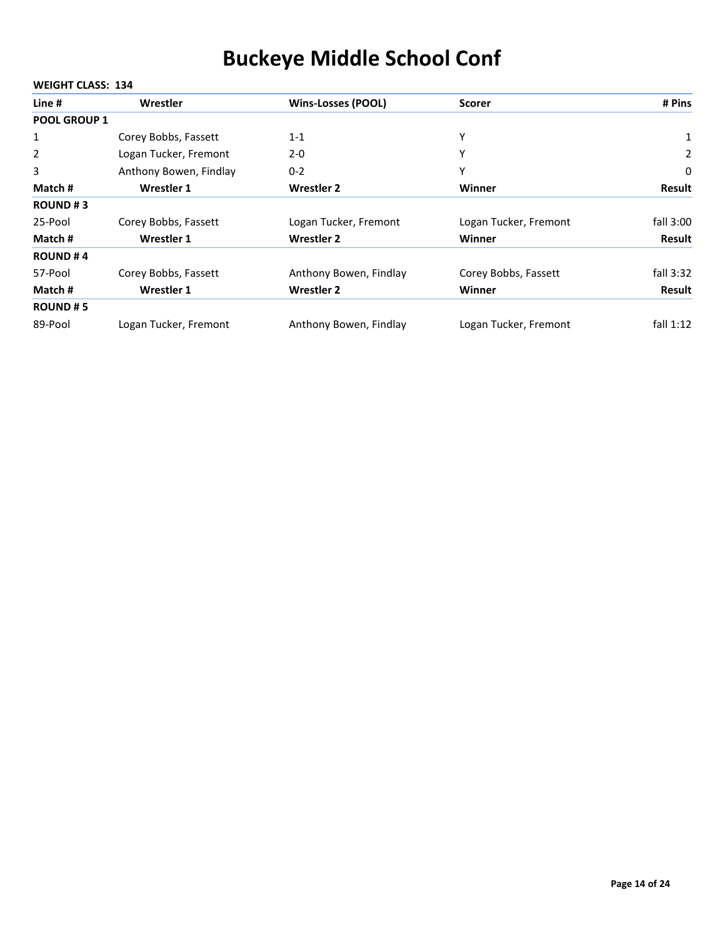| Line #              | Wrestler               | <b>Wins-Losses (POOL)</b> | <b>Scorer</b>         | # Pins        |
|---------------------|------------------------|---------------------------|-----------------------|---------------|
| <b>POOL GROUP 1</b> |                        |                           |                       |               |
| 1                   | Corey Bobbs, Fassett   | $1 - 1$                   | Υ                     | $\mathbf{1}$  |
| 2                   | Logan Tucker, Fremont  | $2 - 0$                   | Υ                     | 2             |
| 3                   | Anthony Bowen, Findlay | $0 - 2$                   | Υ                     | 0             |
| Match #             | Wrestler 1             | <b>Wrestler 2</b>         | Winner                | <b>Result</b> |
| <b>ROUND#3</b>      |                        |                           |                       |               |
| 25-Pool             | Corey Bobbs, Fassett   | Logan Tucker, Fremont     | Logan Tucker, Fremont | fall $3:00$   |
| Match #             | Wrestler 1             | <b>Wrestler 2</b>         | Winner                | Result        |
| <b>ROUND#4</b>      |                        |                           |                       |               |
| 57-Pool             | Corey Bobbs, Fassett   | Anthony Bowen, Findlay    | Corey Bobbs, Fassett  | fall $3:32$   |
| Match #             | Wrestler 1             | <b>Wrestler 2</b>         | Winner                | Result        |
| <b>ROUND#5</b>      |                        |                           |                       |               |
| 89-Pool             | Logan Tucker, Fremont  | Anthony Bowen, Findlay    | Logan Tucker, Fremont | fall $1:12$   |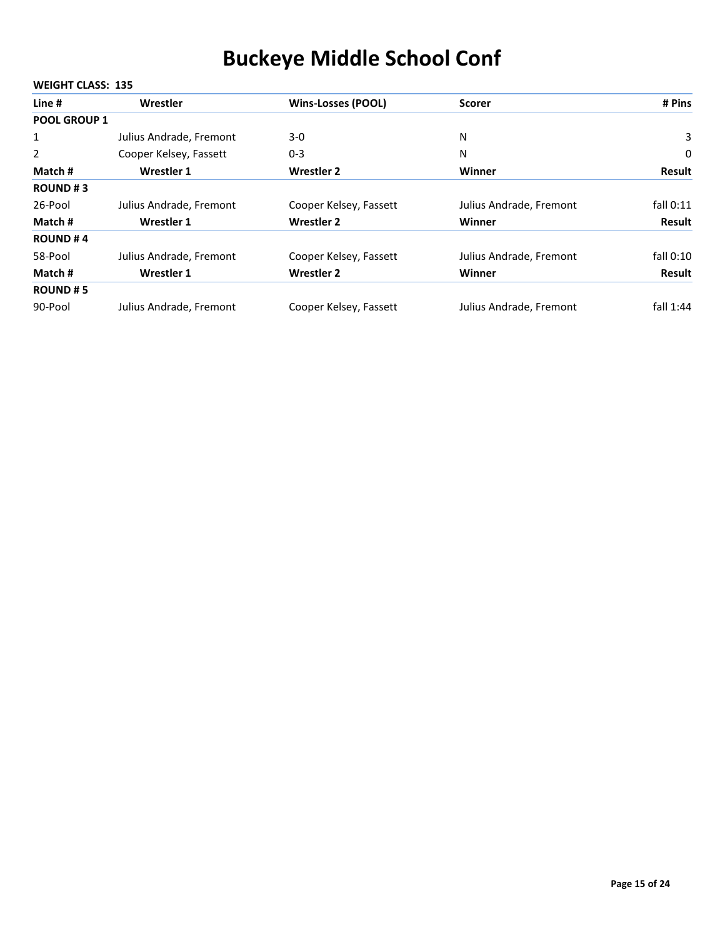| Line #              | Wrestler                | <b>Wins-Losses (POOL)</b> | <b>Scorer</b>           | # Pins        |
|---------------------|-------------------------|---------------------------|-------------------------|---------------|
| <b>POOL GROUP 1</b> |                         |                           |                         |               |
| 1                   | Julius Andrade, Fremont | $3-0$                     | N                       | 3             |
| 2                   | Cooper Kelsey, Fassett  | $0 - 3$                   | N                       | 0             |
| Match #             | Wrestler 1              | <b>Wrestler 2</b>         | Winner                  | Result        |
| <b>ROUND#3</b>      |                         |                           |                         |               |
| 26-Pool             | Julius Andrade, Fremont | Cooper Kelsey, Fassett    | Julius Andrade, Fremont | fall $0:11$   |
| Match #             | Wrestler 1              | <b>Wrestler 2</b>         | Winner                  | Result        |
| <b>ROUND#4</b>      |                         |                           |                         |               |
| 58-Pool             | Julius Andrade, Fremont | Cooper Kelsey, Fassett    | Julius Andrade, Fremont | fall $0:10$   |
| Match #             | Wrestler 1              | <b>Wrestler 2</b>         | Winner                  | <b>Result</b> |
| <b>ROUND#5</b>      |                         |                           |                         |               |
| 90-Pool             | Julius Andrade, Fremont | Cooper Kelsey, Fassett    | Julius Andrade, Fremont | fall $1:44$   |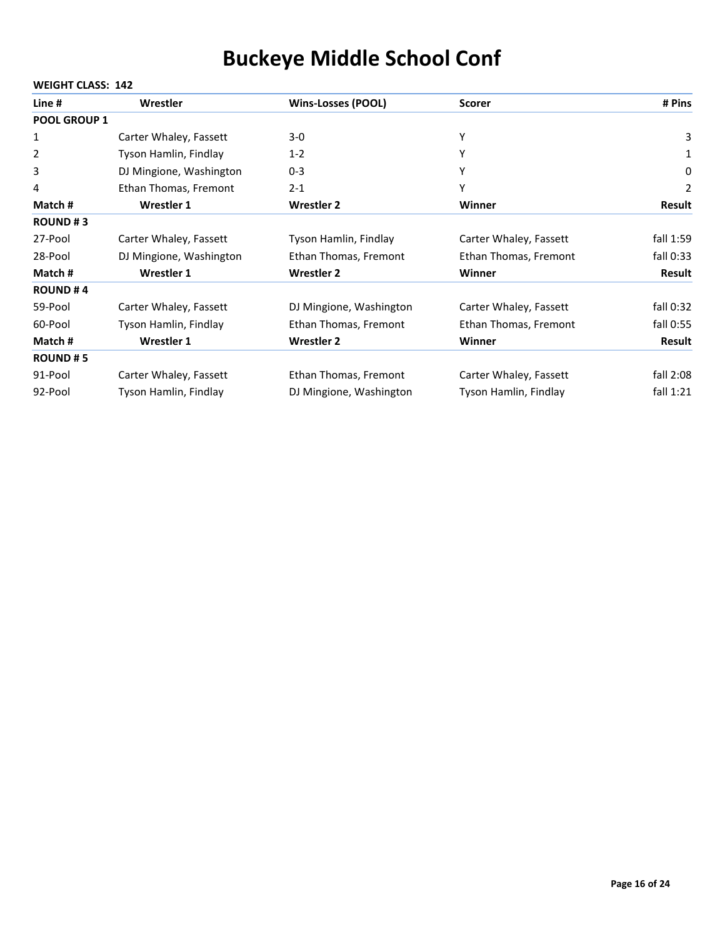| Line #              | Wrestler                | <b>Wins-Losses (POOL)</b> | <b>Scorer</b>          | # Pins        |
|---------------------|-------------------------|---------------------------|------------------------|---------------|
| <b>POOL GROUP 1</b> |                         |                           |                        |               |
| 1                   | Carter Whaley, Fassett  | $3-0$                     | Υ                      | 3             |
| 2                   | Tyson Hamlin, Findlay   | $1 - 2$                   | Y                      | 1             |
| 3                   | DJ Mingione, Washington | $0 - 3$                   | Y                      | 0             |
| 4                   | Ethan Thomas, Fremont   | $2 - 1$                   | Υ                      | 2             |
| Match#              | Wrestler 1              | <b>Wrestler 2</b>         | <b>Winner</b>          | <b>Result</b> |
| <b>ROUND#3</b>      |                         |                           |                        |               |
| 27-Pool             | Carter Whaley, Fassett  | Tyson Hamlin, Findlay     | Carter Whaley, Fassett | fall 1:59     |
| 28-Pool             | DJ Mingione, Washington | Ethan Thomas, Fremont     | Ethan Thomas, Fremont  | fall $0:33$   |
| Match #             | <b>Wrestler 1</b>       | <b>Wrestler 2</b>         | Winner                 | Result        |
| <b>ROUND#4</b>      |                         |                           |                        |               |
| 59-Pool             | Carter Whaley, Fassett  | DJ Mingione, Washington   | Carter Whaley, Fassett | fall $0:32$   |
| 60-Pool             | Tyson Hamlin, Findlay   | Ethan Thomas, Fremont     | Ethan Thomas, Fremont  | fall 0:55     |
| Match #             | <b>Wrestler 1</b>       | <b>Wrestler 2</b>         | Winner                 | Result        |
| <b>ROUND#5</b>      |                         |                           |                        |               |
| 91-Pool             | Carter Whaley, Fassett  | Ethan Thomas, Fremont     | Carter Whaley, Fassett | fall $2:08$   |
| 92-Pool             | Tyson Hamlin, Findlay   | DJ Mingione, Washington   | Tyson Hamlin, Findlay  | fall $1:21$   |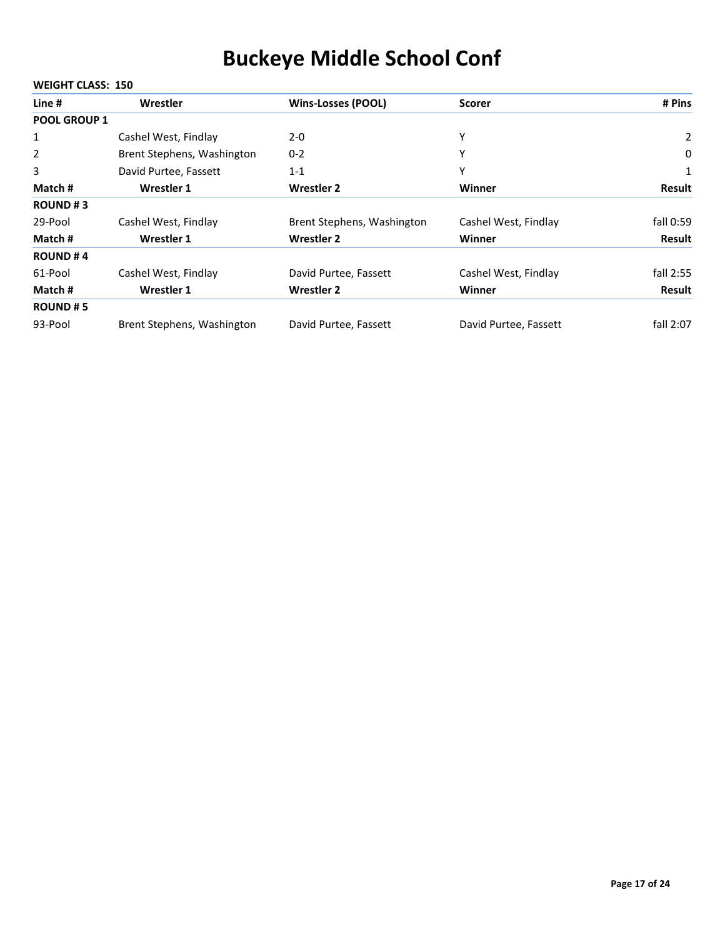| Line #              | Wrestler                   | <b>Wins-Losses (POOL)</b>  | <b>Scorer</b>         | # Pins         |
|---------------------|----------------------------|----------------------------|-----------------------|----------------|
| <b>POOL GROUP 1</b> |                            |                            |                       |                |
| $\mathbf{1}$        | Cashel West, Findlay       | $2 - 0$                    | Υ                     | $\overline{2}$ |
| 2                   | Brent Stephens, Washington | $0 - 2$                    | Υ                     | 0              |
| 3                   | David Purtee, Fassett      | $1 - 1$                    | Υ                     | $\mathbf{1}$   |
| Match #             | <b>Wrestler 1</b>          | <b>Wrestler 2</b>          | Winner                | <b>Result</b>  |
| <b>ROUND#3</b>      |                            |                            |                       |                |
| 29-Pool             | Cashel West, Findlay       | Brent Stephens, Washington | Cashel West, Findlay  | fall 0:59      |
| Match #             | Wrestler 1                 | <b>Wrestler 2</b>          | Winner                | Result         |
| <b>ROUND#4</b>      |                            |                            |                       |                |
| 61-Pool             | Cashel West, Findlay       | David Purtee, Fassett      | Cashel West, Findlay  | fall 2:55      |
| Match #             | <b>Wrestler 1</b>          | <b>Wrestler 2</b>          | <b>Winner</b>         | Result         |
| <b>ROUND#5</b>      |                            |                            |                       |                |
| 93-Pool             | Brent Stephens, Washington | David Purtee, Fassett      | David Purtee, Fassett | fall 2:07      |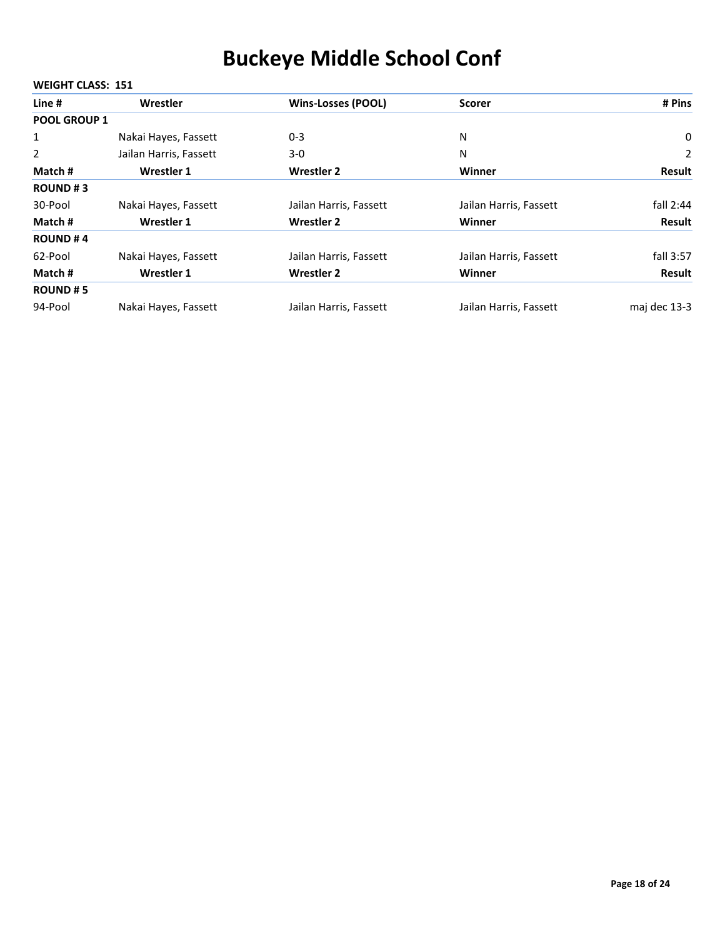| Line #              | Wrestler               | <b>Wins-Losses (POOL)</b> | <b>Scorer</b>          | # Pins       |
|---------------------|------------------------|---------------------------|------------------------|--------------|
| <b>POOL GROUP 1</b> |                        |                           |                        |              |
| 1                   | Nakai Hayes, Fassett   | $0 - 3$                   | N                      | 0            |
| $\overline{2}$      | Jailan Harris, Fassett | $3-0$                     | N                      | 2            |
| Match #             | Wrestler 1             | <b>Wrestler 2</b>         | Winner                 | Result       |
| <b>ROUND#3</b>      |                        |                           |                        |              |
| 30-Pool             | Nakai Hayes, Fassett   | Jailan Harris, Fassett    | Jailan Harris, Fassett | fall $2:44$  |
| Match #             | Wrestler 1             | <b>Wrestler 2</b>         | Winner                 | Result       |
| <b>ROUND#4</b>      |                        |                           |                        |              |
| 62-Pool             | Nakai Hayes, Fassett   | Jailan Harris, Fassett    | Jailan Harris, Fassett | fall 3:57    |
| Match #             | Wrestler 1             | <b>Wrestler 2</b>         | Winner                 | Result       |
| <b>ROUND#5</b>      |                        |                           |                        |              |
| 94-Pool             | Nakai Hayes, Fassett   | Jailan Harris, Fassett    | Jailan Harris, Fassett | maj dec 13-3 |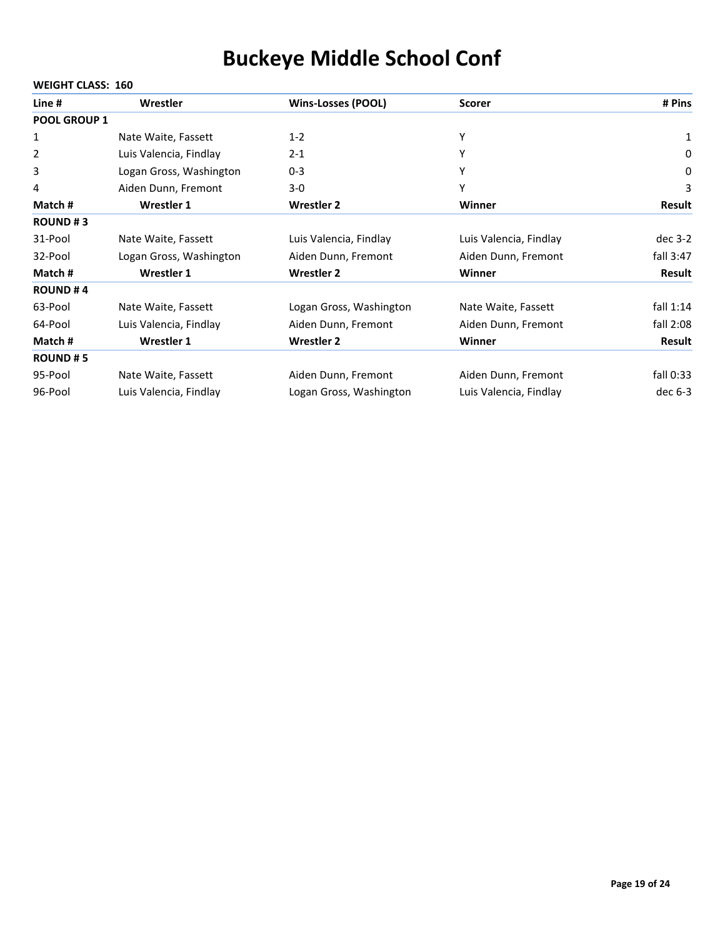| Line #              | Wrestler                | <b>Wins-Losses (POOL)</b> | <b>Scorer</b>          | # Pins      |
|---------------------|-------------------------|---------------------------|------------------------|-------------|
| <b>POOL GROUP 1</b> |                         |                           |                        |             |
| 1                   | Nate Waite, Fassett     | $1 - 2$                   | Υ                      | 1           |
| 2                   | Luis Valencia, Findlay  | $2 - 1$                   | Υ                      | 0           |
| 3                   | Logan Gross, Washington | $0 - 3$                   | Υ                      | 0           |
| 4                   | Aiden Dunn, Fremont     | $3-0$                     | Y                      | 3           |
| Match #             | <b>Wrestler 1</b>       | <b>Wrestler 2</b>         | Winner                 | Result      |
| <b>ROUND#3</b>      |                         |                           |                        |             |
| 31-Pool             | Nate Waite, Fassett     | Luis Valencia, Findlay    | Luis Valencia, Findlay | $dec$ 3-2   |
| 32-Pool             | Logan Gross, Washington | Aiden Dunn, Fremont       | Aiden Dunn, Fremont    | fall $3:47$ |
| Match#              | <b>Wrestler 1</b>       | <b>Wrestler 2</b>         | Winner                 | Result      |
| <b>ROUND#4</b>      |                         |                           |                        |             |
| 63-Pool             | Nate Waite, Fassett     | Logan Gross, Washington   | Nate Waite, Fassett    | fall $1:14$ |
| 64-Pool             | Luis Valencia, Findlay  | Aiden Dunn, Fremont       | Aiden Dunn, Fremont    | fall $2:08$ |
| Match #             | Wrestler 1              | <b>Wrestler 2</b>         | Winner                 | Result      |
| <b>ROUND#5</b>      |                         |                           |                        |             |
| 95-Pool             | Nate Waite, Fassett     | Aiden Dunn, Fremont       | Aiden Dunn, Fremont    | fall 0:33   |
| 96-Pool             | Luis Valencia, Findlay  | Logan Gross, Washington   | Luis Valencia, Findlay | dec $6-3$   |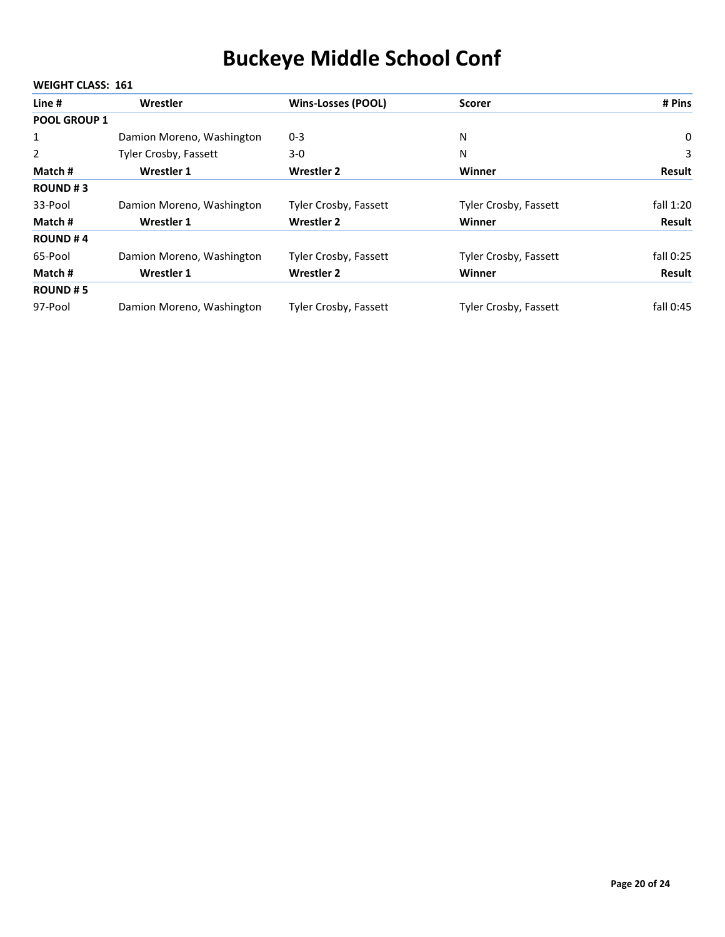#### **WEIGHT CLASS: 161 Line # Wrestler Wins‐Losses (POOL) Scorer # Pins POOL GROUP 1** 1 Damion Moreno, Washington 0-3 N N 0 2 Tyler Crosby, Fassett 3‐0N 3 **Match # Wrestler 1 Wrestler 2 Winner Result ROUND # 3** 33-Pool Damion Moreno, Washington Tyler Crosby, Fassett Tyler Crosby, Fassett fall 1:20 **Match # Wrestler 1 Wrestler 2 Winner Result ROUND # 4** 65-Pool Damion Moreno, Washington Tyler Crosby, Fassett Tyler Crosby, Fassett fall 0:25 **Match # Wrestler 1 Wrestler 2 Winner Result ROUND # 5** 97-Pool Damion Moreno, Washington Tyler Crosby, Fassett Tyler Crosby, Fassett fall 0:45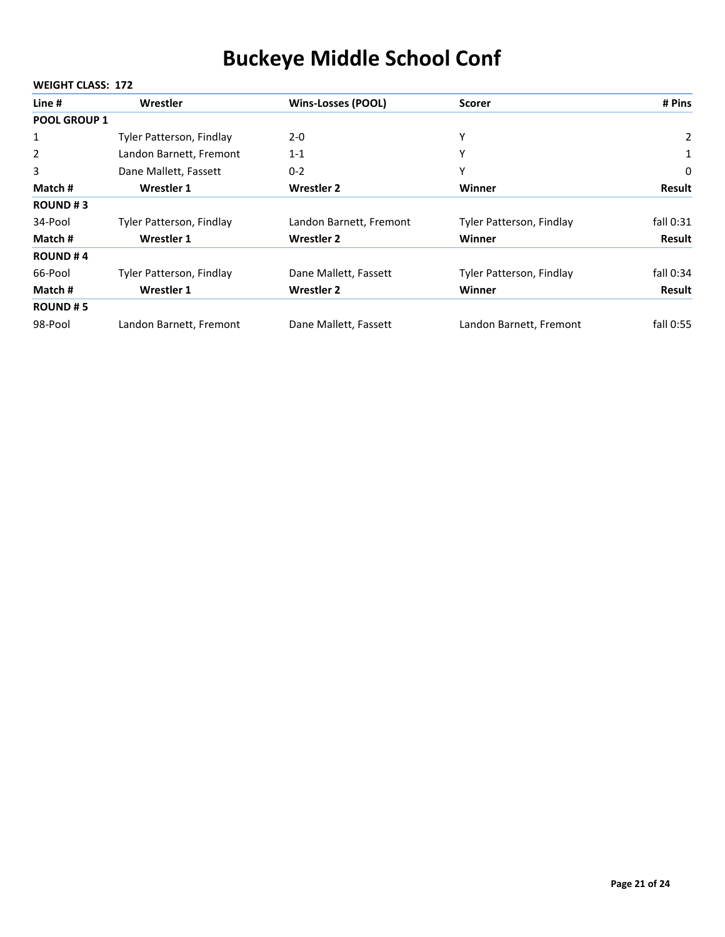#### **WEIGHT CLASS: 172 Line # Wrestler Wins‐Losses (POOL) Scorer # Pins POOL GROUP 1** 1 Tyler Patterson, Findlay 2-0<br>
2 2 Landon Barnett, Fremont 1‐1Y 1 3 Dane Mallett, Fassett 0−2 0−2 Y Y Dane Mallett, Fassett 0−2 **Match # Wrestler 1 Wrestler 2 Winner Result ROUND # 3** 34-Pool Tyler Patterson, Findlay Landon Barnett, Fremont Tyler Patterson, Findlay fall 0:31 **Match # Wrestler 1 Wrestler 2 Winner Result ROUND # 4** 66-Pool Tyler Patterson, Findlay Dane Mallett, Fassett Tyler Patterson, Findlay fall 0:34 **Match # Wrestler 1 Wrestler 2 Winner Result ROUND # 5** 98-Pool Landon Barnett, Fremont Dane Mallett, Fassett Landon Barnett, Fremont fall 0:55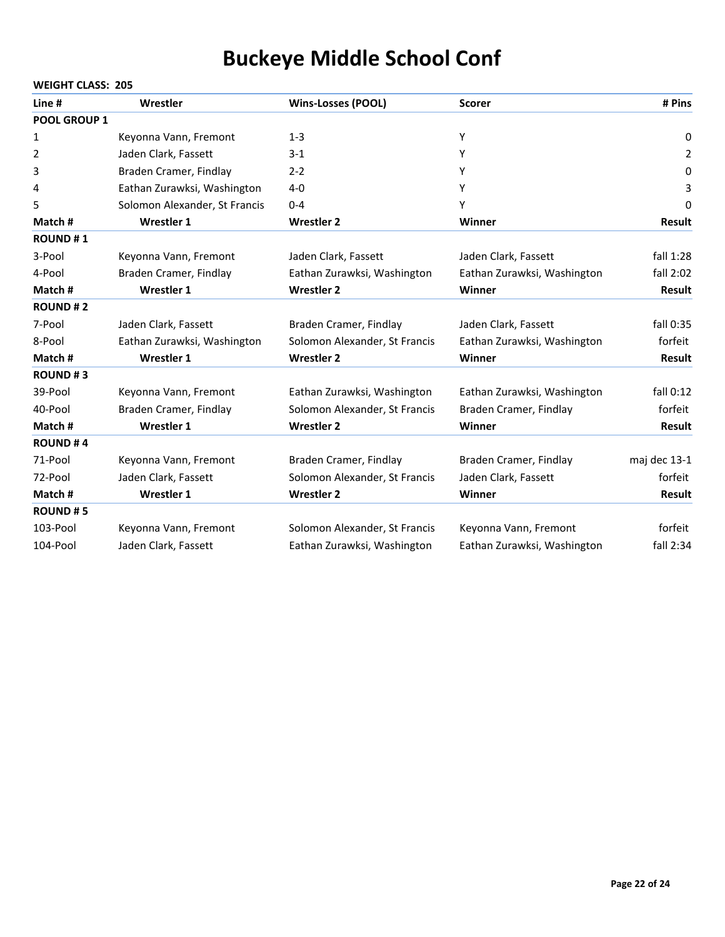| Line #              | Wrestler                      | <b>Wins-Losses (POOL)</b>     | <b>Scorer</b>               | # Pins        |
|---------------------|-------------------------------|-------------------------------|-----------------------------|---------------|
| <b>POOL GROUP 1</b> |                               |                               |                             |               |
| 1                   | Keyonna Vann, Fremont         | $1 - 3$                       | Y                           | 0             |
| 2                   | Jaden Clark, Fassett          | $3-1$                         | Y                           | 2             |
| 3                   | Braden Cramer, Findlay        | $2 - 2$                       | Υ                           | 0             |
| 4                   | Eathan Zurawksi, Washington   | $4 - 0$                       | Y                           | 3             |
| 5                   | Solomon Alexander, St Francis | $0 - 4$                       | Υ                           | 0             |
| Match #             | <b>Wrestler 1</b>             | <b>Wrestler 2</b>             | Winner                      | <b>Result</b> |
| <b>ROUND#1</b>      |                               |                               |                             |               |
| 3-Pool              | Keyonna Vann, Fremont         | Jaden Clark, Fassett          | Jaden Clark, Fassett        | fall $1:28$   |
| 4-Pool              | Braden Cramer, Findlay        | Eathan Zurawksi, Washington   | Eathan Zurawksi, Washington | fall $2:02$   |
| Match #             | <b>Wrestler 1</b>             | <b>Wrestler 2</b>             | Winner                      | <b>Result</b> |
| <b>ROUND#2</b>      |                               |                               |                             |               |
| 7-Pool              | Jaden Clark, Fassett          | Braden Cramer, Findlay        | Jaden Clark, Fassett        | fall 0:35     |
| 8-Pool              | Eathan Zurawksi, Washington   | Solomon Alexander, St Francis | Eathan Zurawksi, Washington | forfeit       |
| Match#              | <b>Wrestler 1</b>             | <b>Wrestler 2</b>             | Winner                      | <b>Result</b> |
| <b>ROUND#3</b>      |                               |                               |                             |               |
| 39-Pool             | Keyonna Vann, Fremont         | Eathan Zurawksi, Washington   | Eathan Zurawksi, Washington | fall 0:12     |
| 40-Pool             | Braden Cramer, Findlay        | Solomon Alexander, St Francis | Braden Cramer, Findlay      | forfeit       |
| Match #             | Wrestler 1                    | <b>Wrestler 2</b>             | Winner                      | <b>Result</b> |
| <b>ROUND#4</b>      |                               |                               |                             |               |
| 71-Pool             | Keyonna Vann, Fremont         | Braden Cramer, Findlay        | Braden Cramer, Findlay      | maj dec 13-1  |
| 72-Pool             | Jaden Clark, Fassett          | Solomon Alexander, St Francis | Jaden Clark, Fassett        | forfeit       |
| Match#              | Wrestler 1                    | <b>Wrestler 2</b>             | Winner                      | <b>Result</b> |
| <b>ROUND#5</b>      |                               |                               |                             |               |
| 103-Pool            | Keyonna Vann, Fremont         | Solomon Alexander, St Francis | Keyonna Vann, Fremont       | forfeit       |
| 104-Pool            | Jaden Clark, Fassett          | Eathan Zurawksi, Washington   | Eathan Zurawksi, Washington | fall 2:34     |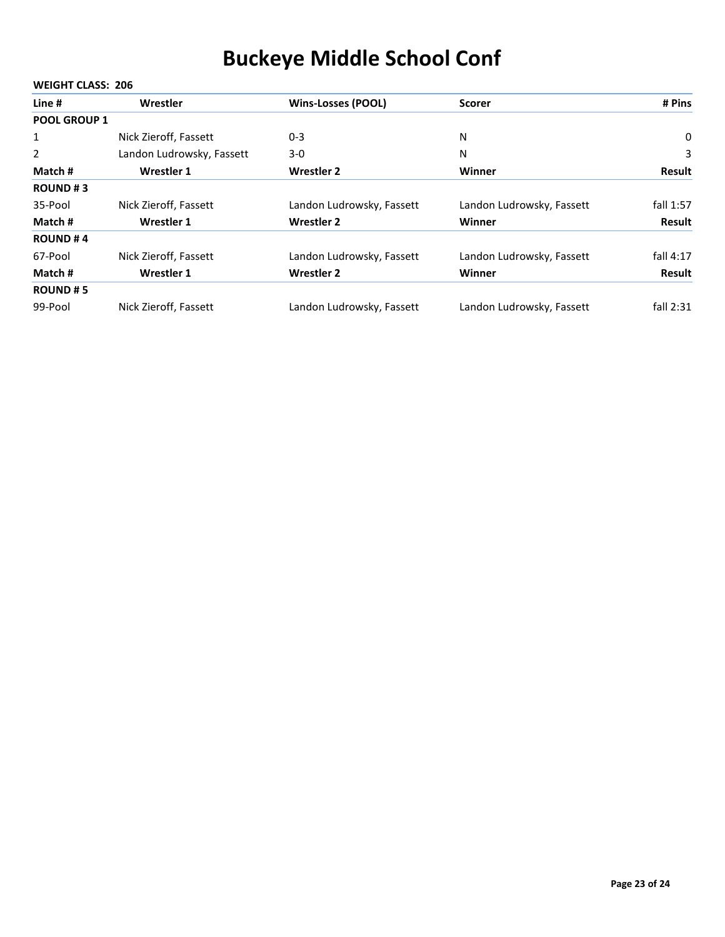| Line #              | Wrestler                  | <b>Wins-Losses (POOL)</b> | <b>Scorer</b>             | # Pins      |
|---------------------|---------------------------|---------------------------|---------------------------|-------------|
| <b>POOL GROUP 1</b> |                           |                           |                           |             |
| $\mathbf{1}$        | Nick Zieroff, Fassett     | $0 - 3$                   | N                         | 0           |
| 2                   | Landon Ludrowsky, Fassett | $3-0$                     | N                         | 3           |
| Match #             | Wrestler 1                | <b>Wrestler 2</b>         | Winner                    | Result      |
| <b>ROUND#3</b>      |                           |                           |                           |             |
| 35-Pool             | Nick Zieroff, Fassett     | Landon Ludrowsky, Fassett | Landon Ludrowsky, Fassett | fall 1:57   |
| Match #             | Wrestler 1                | <b>Wrestler 2</b>         | Winner                    | Result      |
| <b>ROUND#4</b>      |                           |                           |                           |             |
| 67-Pool             | Nick Zieroff, Fassett     | Landon Ludrowsky, Fassett | Landon Ludrowsky, Fassett | fall $4:17$ |
| Match #             | Wrestler 1                | <b>Wrestler 2</b>         | Winner                    | Result      |
| <b>ROUND#5</b>      |                           |                           |                           |             |
| 99-Pool             | Nick Zieroff, Fassett     | Landon Ludrowsky, Fassett | Landon Ludrowsky, Fassett | fall $2:31$ |